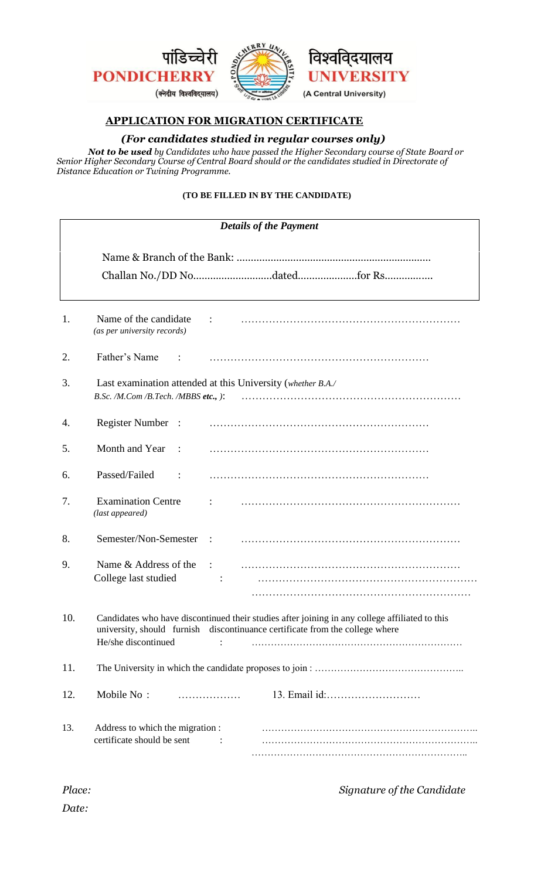

# ्दयालय **ERSITY** (A Central University)

## **APPLICATION FOR MIGRATION CERTIFICATE**

### *(For candidates studied in regular courses only)*

*Not to be used by Candidates who have passed the Higher Secondary course of State Board or Senior Higher Secondary Course of Central Board should or the candidates studied in Directorate of Distance Education or Twining Programme.* 

### **(TO BE FILLED IN BY THE CANDIDATE)**

| <b>Details of the Payment</b> |                                                                                                                                                                                                       |  |  |  |
|-------------------------------|-------------------------------------------------------------------------------------------------------------------------------------------------------------------------------------------------------|--|--|--|
|                               |                                                                                                                                                                                                       |  |  |  |
| 1.                            | Name of the candidate<br>(as per university records)                                                                                                                                                  |  |  |  |
| 2.                            | Father's Name                                                                                                                                                                                         |  |  |  |
| 3.                            | Last examination attended at this University (whether B.A./<br>B.Sc. /M.Com /B.Tech. /MBBS etc., ):                                                                                                   |  |  |  |
| 4.                            | <b>Register Number</b><br>$\ddot{\phantom{1}}$ :                                                                                                                                                      |  |  |  |
| 5.                            | Month and Year                                                                                                                                                                                        |  |  |  |
| 6.                            | Passed/Failed                                                                                                                                                                                         |  |  |  |
| 7.                            | <b>Examination Centre</b><br>(last appeared)                                                                                                                                                          |  |  |  |
| 8.                            | Semester/Non-Semester                                                                                                                                                                                 |  |  |  |
| 9.                            | Name & Address of the<br>College last studied                                                                                                                                                         |  |  |  |
| 10.                           | Candidates who have discontinued their studies after joining in any college affiliated to this<br>university, should furnish discontinuance certificate from the college where<br>He/she discontinued |  |  |  |
| 11.                           |                                                                                                                                                                                                       |  |  |  |
| 12.                           | Mobile No:<br>.                                                                                                                                                                                       |  |  |  |
| 13.                           | Address to which the migration :<br>certificate should be sent                                                                                                                                        |  |  |  |

 *Place: Signature of the Candidate*